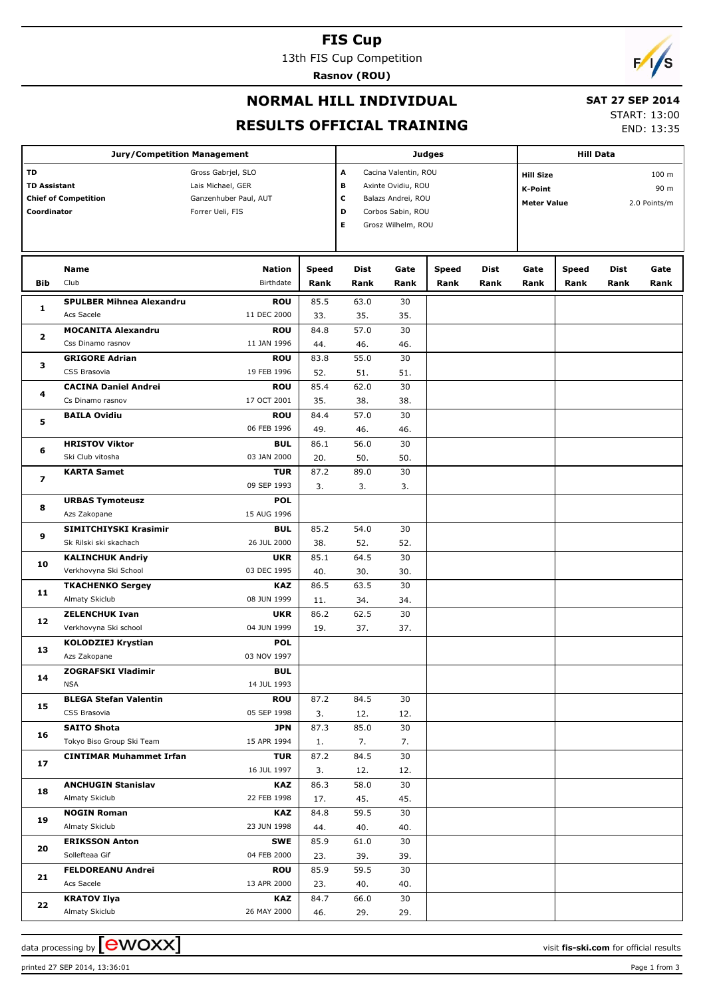#### **FIS Cup**

13th FIS Cup Competition

**Rasnov (ROU)**



## **NORMAL HILL INDIVIDUAL**

### **SAT 27 SEP 2014**

**RESULTS OFFICIAL TRAINING**

START: 13:00 END: 13:35

|                                                                         | <b>Jury/Competition Management</b>               |                                                                                      |              | <b>Judges</b>         | <b>Hill Data</b>                                                                                            |              |                                                          |      |       |                                          |      |
|-------------------------------------------------------------------------|--------------------------------------------------|--------------------------------------------------------------------------------------|--------------|-----------------------|-------------------------------------------------------------------------------------------------------------|--------------|----------------------------------------------------------|------|-------|------------------------------------------|------|
| TD<br><b>TD Assistant</b><br><b>Chief of Competition</b><br>Coordinator |                                                  | Gross Gabrjel, SLO<br>Lais Michael, GER<br>Ganzenhuber Paul, AUT<br>Forrer Ueli, FIS |              | А<br>в<br>с<br>D<br>Е | Cacina Valentin, ROU<br>Axinte Ovidiu, ROU<br>Balazs Andrei, ROU<br>Corbos Sabin, ROU<br>Grosz Wilhelm, ROU |              | <b>Hill Size</b><br><b>K-Point</b><br><b>Meter Value</b> |      |       | 100 <sub>m</sub><br>90 m<br>2.0 Points/m |      |
|                                                                         |                                                  |                                                                                      |              |                       |                                                                                                             |              |                                                          |      |       |                                          |      |
|                                                                         | Name                                             | <b>Nation</b>                                                                        | <b>Speed</b> | Dist                  | Gate                                                                                                        | <b>Speed</b> | Dist                                                     | Gate | Speed | Dist                                     | Gate |
| <b>Bib</b>                                                              | Club                                             | Birthdate                                                                            | Rank         | Rank                  | Rank                                                                                                        | Rank         | Rank                                                     | Rank | Rank  | Rank                                     | Rank |
| 1                                                                       | <b>SPULBER Mihnea Alexandru</b>                  | <b>ROU</b>                                                                           | 85.5         | 63.0                  | 30                                                                                                          |              |                                                          |      |       |                                          |      |
|                                                                         | Acs Sacele                                       | 11 DEC 2000                                                                          | 33.          | 35.                   | 35.                                                                                                         |              |                                                          |      |       |                                          |      |
| $\mathbf{z}$                                                            | <b>MOCANITA Alexandru</b>                        | <b>ROU</b>                                                                           | 84.8         | 57.0                  | 30                                                                                                          |              |                                                          |      |       |                                          |      |
|                                                                         | Css Dinamo rasnov                                | 11 JAN 1996                                                                          | 44.          | 46.                   | 46.                                                                                                         |              |                                                          |      |       |                                          |      |
| з                                                                       | <b>GRIGORE Adrian</b><br>CSS Brasovia            | <b>ROU</b>                                                                           | 83.8         | 55.0                  | 30                                                                                                          |              |                                                          |      |       |                                          |      |
|                                                                         | <b>CACINA Daniel Andrei</b>                      | 19 FEB 1996<br><b>ROU</b>                                                            | 52.<br>85.4  | 51.<br>62.0           | 51.<br>30                                                                                                   |              |                                                          |      |       |                                          |      |
| 4                                                                       | Cs Dinamo rasnov                                 | 17 OCT 2001                                                                          | 35.          | 38.                   | 38.                                                                                                         |              |                                                          |      |       |                                          |      |
|                                                                         | <b>BAILA Ovidiu</b>                              | <b>ROU</b>                                                                           | 84.4         | 57.0                  | 30                                                                                                          |              |                                                          |      |       |                                          |      |
| 5                                                                       |                                                  | 06 FEB 1996                                                                          | 49.          | 46.                   | 46.                                                                                                         |              |                                                          |      |       |                                          |      |
|                                                                         | <b>HRISTOV Viktor</b>                            | <b>BUL</b>                                                                           | 86.1         | 56.0                  | 30                                                                                                          |              |                                                          |      |       |                                          |      |
| 6                                                                       | Ski Club vitosha                                 | 03 JAN 2000                                                                          | 20.          | 50.                   | 50.                                                                                                         |              |                                                          |      |       |                                          |      |
|                                                                         | <b>KARTA Samet</b>                               | <b>TUR</b>                                                                           | 87.2         | 89.0                  | 30                                                                                                          |              |                                                          |      |       |                                          |      |
| 7                                                                       |                                                  | 09 SEP 1993                                                                          | 3.           | 3.                    | 3.                                                                                                          |              |                                                          |      |       |                                          |      |
| 8                                                                       | <b>URBAS Tymoteusz</b>                           | <b>POL</b>                                                                           |              |                       |                                                                                                             |              |                                                          |      |       |                                          |      |
|                                                                         | Azs Zakopane                                     | 15 AUG 1996                                                                          |              |                       |                                                                                                             |              |                                                          |      |       |                                          |      |
| 9                                                                       | SIMITCHIYSKI Krasimir                            | <b>BUL</b>                                                                           | 85.2         | 54.0                  | 30                                                                                                          |              |                                                          |      |       |                                          |      |
|                                                                         | Sk Rilski ski skachach                           | 26 JUL 2000                                                                          | 38.          | 52.                   | 52.                                                                                                         |              |                                                          |      |       |                                          |      |
| 10                                                                      | <b>KALINCHUK Andriy</b>                          | <b>UKR</b><br>03 DEC 1995                                                            | 85.1         | 64.5                  | 30                                                                                                          |              |                                                          |      |       |                                          |      |
|                                                                         | Verkhovyna Ski School<br><b>TKACHENKO Sergey</b> | <b>KAZ</b>                                                                           | 40.<br>86.5  | 30.<br>63.5           | 30.<br>30                                                                                                   |              |                                                          |      |       |                                          |      |
| 11                                                                      | Almaty Skiclub                                   | 08 JUN 1999                                                                          | 11.          | 34.                   | 34.                                                                                                         |              |                                                          |      |       |                                          |      |
|                                                                         | <b>ZELENCHUK Ivan</b>                            | <b>UKR</b>                                                                           | 86.2         | 62.5                  | 30                                                                                                          |              |                                                          |      |       |                                          |      |
| 12                                                                      | Verkhovyna Ski school                            | 04 JUN 1999                                                                          | 19.          | 37.                   | 37.                                                                                                         |              |                                                          |      |       |                                          |      |
|                                                                         | <b>KOLODZIEJ Krystian</b>                        | <b>POL</b>                                                                           |              |                       |                                                                                                             |              |                                                          |      |       |                                          |      |
| 13                                                                      | Azs Zakopane                                     | 03 NOV 1997                                                                          |              |                       |                                                                                                             |              |                                                          |      |       |                                          |      |
| 14                                                                      | <b>ZOGRAFSKI Vladimir</b>                        | <b>BUL</b>                                                                           |              |                       |                                                                                                             |              |                                                          |      |       |                                          |      |
|                                                                         | <b>NSA</b>                                       | 14 JUL 1993                                                                          |              |                       |                                                                                                             |              |                                                          |      |       |                                          |      |
| 15                                                                      | <b>BLEGA Stefan Valentin</b>                     | <b>ROU</b>                                                                           | 87.2         | 84.5                  | 30                                                                                                          |              |                                                          |      |       |                                          |      |
|                                                                         | CSS Brasovia                                     | 05 SEP 1998                                                                          | 3.           | 12.                   | 12.                                                                                                         |              |                                                          |      |       |                                          |      |
| 16                                                                      | <b>SAITO Shota</b>                               | JPN                                                                                  | 87.3         | 85.0                  | 30                                                                                                          |              |                                                          |      |       |                                          |      |
|                                                                         | Tokyo Biso Group Ski Team                        | 15 APR 1994                                                                          | 1.           | 7.                    | 7.<br>30                                                                                                    |              |                                                          |      |       |                                          |      |
| 17                                                                      | <b>CINTIMAR Muhammet Irfan</b>                   | <b>TUR</b><br>16 JUL 1997                                                            | 87.2<br>3.   | 84.5<br>12.           | 12.                                                                                                         |              |                                                          |      |       |                                          |      |
|                                                                         | <b>ANCHUGIN Stanislav</b>                        | <b>KAZ</b>                                                                           | 86.3         | 58.0                  | 30                                                                                                          |              |                                                          |      |       |                                          |      |
| 18                                                                      | Almaty Skiclub                                   | 22 FEB 1998                                                                          | 17.          | 45.                   | 45.                                                                                                         |              |                                                          |      |       |                                          |      |
|                                                                         | <b>NOGIN Roman</b>                               | <b>KAZ</b>                                                                           | 84.8         | 59.5                  | 30                                                                                                          |              |                                                          |      |       |                                          |      |
| 19                                                                      | Almaty Skiclub                                   | 23 JUN 1998                                                                          | 44.          | 40.                   | 40.                                                                                                         |              |                                                          |      |       |                                          |      |
|                                                                         | <b>ERIKSSON Anton</b>                            | <b>SWE</b>                                                                           | 85.9         | 61.0                  | 30                                                                                                          |              |                                                          |      |       |                                          |      |
| 20                                                                      | Sollefteaa Gif                                   | 04 FEB 2000                                                                          | 23.          | 39.                   | 39.                                                                                                         |              |                                                          |      |       |                                          |      |
| 21                                                                      | <b>FELDOREANU Andrei</b>                         | <b>ROU</b>                                                                           | 85.9         | 59.5                  | 30                                                                                                          |              |                                                          |      |       |                                          |      |
|                                                                         | Acs Sacele                                       | 13 APR 2000                                                                          | 23.          | 40.                   | 40.                                                                                                         |              |                                                          |      |       |                                          |      |
| 22                                                                      | <b>KRATOV Ilya</b>                               | <b>KAZ</b>                                                                           | 84.7         | 66.0                  | 30                                                                                                          |              |                                                          |      |       |                                          |      |
|                                                                         | Almaty Skiclub                                   | 26 MAY 2000                                                                          | 46.          | 29.                   | 29.                                                                                                         |              |                                                          |      |       |                                          |      |

data processing by **CWOXX**  $\blacksquare$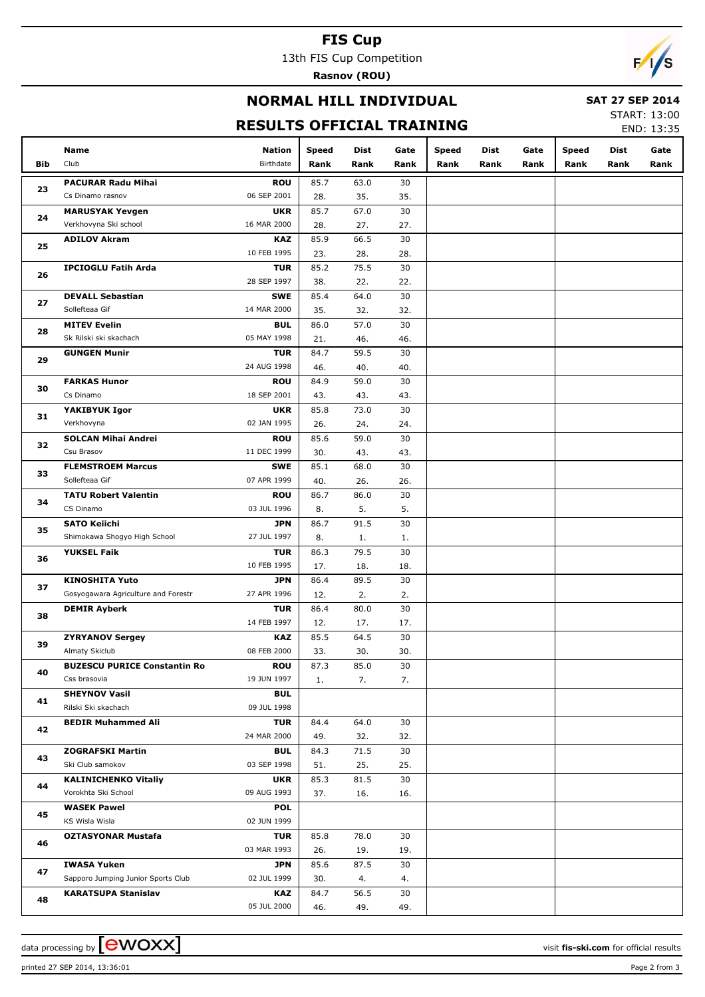### **FIS Cup**

13th FIS Cup Competition

**Rasnov (ROU)**



## **NORMAL HILL INDIVIDUAL**

#### **SAT 27 SEP 2014**

## **RESULTS OFFICIAL TRAINING**

START: 13:00 END: 13:35

|                | Name                                | <b>Nation</b>             | <b>Speed</b> | <b>Dist</b> | Gate      | Speed | <b>Dist</b> | Gate | <b>Speed</b> | Dist | Gate |
|----------------|-------------------------------------|---------------------------|--------------|-------------|-----------|-------|-------------|------|--------------|------|------|
| <b>Bib</b>     | Club                                | Birthdate                 | Rank         | Rank        | Rank      | Rank  | Rank        | Rank | Rank         | Rank | Rank |
|                | <b>PACURAR Radu Mihai</b>           | <b>ROU</b>                | 85.7         | 63.0        | 30        |       |             |      |              |      |      |
| 23             | Cs Dinamo rasnov                    | 06 SEP 2001               | 28.          | 35.         | 35.       |       |             |      |              |      |      |
|                | <b>MARUSYAK Yevgen</b>              | <b>UKR</b>                | 85.7         | 67.0        | 30        |       |             |      |              |      |      |
| 24             | Verkhovyna Ski school               | 16 MAR 2000               | 28.          | 27.         | 27.       |       |             |      |              |      |      |
|                | <b>ADILOV Akram</b>                 | <b>KAZ</b>                | 85.9         | 66.5        | 30        |       |             |      |              |      |      |
| 25             |                                     | 10 FEB 1995               | 23.          | 28.         | 28.       |       |             |      |              |      |      |
|                | <b>IPCIOGLU Fatih Arda</b>          | <b>TUR</b>                | 85.2         | 75.5        | 30        |       |             |      |              |      |      |
| 26             |                                     | 28 SEP 1997               | 38.          | 22.         | 22.       |       |             |      |              |      |      |
|                | <b>DEVALL Sebastian</b>             | <b>SWE</b>                | 85.4         | 64.0        | 30        |       |             |      |              |      |      |
| 27             | Sollefteaa Gif                      | 14 MAR 2000               | 35.          | 32.         | 32.       |       |             |      |              |      |      |
| 28             | <b>MITEV Evelin</b>                 | <b>BUL</b>                | 86.0         | 57.0        | 30        |       |             |      |              |      |      |
|                | Sk Rilski ski skachach              | 05 MAY 1998               | 21.          | 46.         | 46.       |       |             |      |              |      |      |
| 29             | <b>GUNGEN Munir</b>                 | <b>TUR</b>                | 84.7         | 59.5        | 30        |       |             |      |              |      |      |
|                |                                     | 24 AUG 1998               | 46.          | 40.         | 40.       |       |             |      |              |      |      |
| 30             | <b>FARKAS Hunor</b>                 | <b>ROU</b>                | 84.9         | 59.0        | 30        |       |             |      |              |      |      |
|                | Cs Dinamo                           | 18 SEP 2001               | 43.          | 43.         | 43.       |       |             |      |              |      |      |
| 31             | YAKIBYUK Igor                       | <b>UKR</b>                | 85.8         | 73.0        | 30        |       |             |      |              |      |      |
|                | Verkhovyna                          | 02 JAN 1995               | 26.          | 24.         | 24.       |       |             |      |              |      |      |
| 32             | <b>SOLCAN Mihai Andrei</b>          | <b>ROU</b>                | 85.6         | 59.0        | 30        |       |             |      |              |      |      |
|                | Csu Brasov                          | 11 DEC 1999               | 30.          | 43.         | 43.       |       |             |      |              |      |      |
| 33             | <b>FLEMSTROEM Marcus</b>            | <b>SWE</b>                | 85.1         | 68.0        | 30        |       |             |      |              |      |      |
| 34<br>35<br>36 | Sollefteaa Gif                      | 07 APR 1999               | 40.          | 26.         | 26.       |       |             |      |              |      |      |
|                | <b>TATU Robert Valentin</b>         | <b>ROU</b>                | 86.7         | 86.0        | 30        |       |             |      |              |      |      |
|                | CS Dinamo                           | 03 JUL 1996               | 8.           | 5.          | 5.        |       |             |      |              |      |      |
|                | <b>SATO Keiichi</b>                 | <b>JPN</b>                | 86.7         | 91.5        | 30        |       |             |      |              |      |      |
|                | Shimokawa Shogyo High School        | 27 JUL 1997               | 8.           | 1.<br>79.5  | 1.<br>30  |       |             |      |              |      |      |
|                | <b>YUKSEL Faik</b>                  | <b>TUR</b><br>10 FEB 1995 | 86.3<br>17.  | 18.         | 18.       |       |             |      |              |      |      |
|                | <b>KINOSHITA Yuto</b>               | <b>JPN</b>                | 86.4         | 89.5        | 30        |       |             |      |              |      |      |
| 37             | Gosyogawara Agriculture and Forestr | 27 APR 1996               | 12.          | 2.          | 2.        |       |             |      |              |      |      |
|                | <b>DEMIR Ayberk</b>                 | <b>TUR</b>                | 86.4         | 80.0        | 30        |       |             |      |              |      |      |
| 38             |                                     | 14 FEB 1997               | 12.          | 17.         | 17.       |       |             |      |              |      |      |
|                | <b>ZYRYANOV Sergey</b>              | <b>KAZ</b>                | 85.5         | 64.5        | 30        |       |             |      |              |      |      |
| 39             | Almaty Skiclub                      | 08 FEB 2000               | 33.          | 30.         | 30.       |       |             |      |              |      |      |
|                | <b>BUZESCU PURICE Constantin Ro</b> | <b>ROU</b>                | 87.3         | 85.0        | 30        |       |             |      |              |      |      |
| 40             | Css brasovia                        | 19 JUN 1997               | 1.           | 7.          | 7.        |       |             |      |              |      |      |
| 41             | <b>SHEYNOV Vasil</b>                | <b>BUL</b>                |              |             |           |       |             |      |              |      |      |
|                | Rilski Ski skachach                 | 09 JUL 1998               |              |             |           |       |             |      |              |      |      |
| 42             | <b>BEDIR Muhammed Ali</b>           | <b>TUR</b>                | 84.4         | 64.0        | 30        |       |             |      |              |      |      |
|                |                                     | 24 MAR 2000               | 49.          | 32.         | 32.       |       |             |      |              |      |      |
| 43             | <b>ZOGRAFSKI Martin</b>             | <b>BUL</b>                | 84.3         | 71.5        | 30        |       |             |      |              |      |      |
|                | Ski Club samokov                    | 03 SEP 1998               | 51.          | 25.         | 25.       |       |             |      |              |      |      |
| 44             | <b>KALINICHENKO Vitaliy</b>         | <b>UKR</b>                | 85.3         | 81.5        | 30        |       |             |      |              |      |      |
|                | Vorokhta Ski School                 | 09 AUG 1993               | 37.          | 16.         | 16.       |       |             |      |              |      |      |
| 45             | <b>WASEK Pawel</b>                  | <b>POL</b>                |              |             |           |       |             |      |              |      |      |
|                | KS Wisla Wisla                      | 02 JUN 1999               |              |             |           |       |             |      |              |      |      |
| 46             | <b>OZTASYONAR Mustafa</b>           | <b>TUR</b><br>03 MAR 1993 | 85.8         | 78.0        | 30        |       |             |      |              |      |      |
|                | <b>IWASA Yuken</b>                  | JPN                       | 26.<br>85.6  | 19.<br>87.5 | 19.<br>30 |       |             |      |              |      |      |
| 47             | Sapporo Jumping Junior Sports Club  | 02 JUL 1999               | 30.          | 4.          | 4.        |       |             |      |              |      |      |
|                | <b>KARATSUPA Stanislav</b>          | <b>KAZ</b>                | 84.7         | 56.5        | 30        |       |             |      |              |      |      |
| 48             |                                     | 05 JUL 2000               | 46.          | 49.         | 49.       |       |             |      |              |      |      |
|                |                                     |                           |              |             |           |       |             |      |              |      |      |